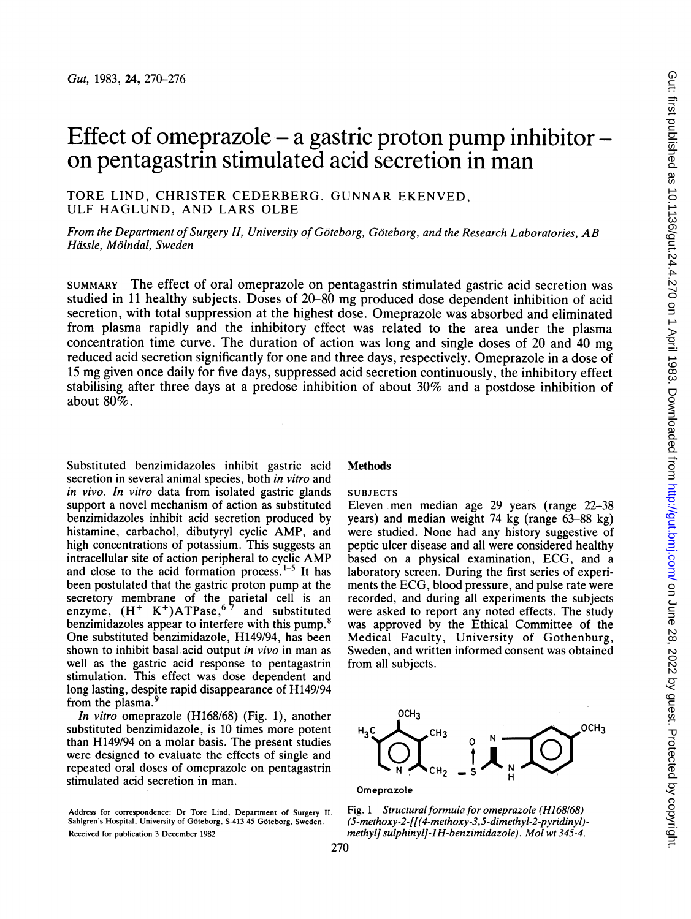# Effect of omeprazole  $-$  a gastric proton pump inhibitor  $$ on pentagastrin stimulated acid secretion in man

TORE LIND, CHRISTER CEDERBERG, GUNNAR EKENVED, ULF HAGLUND, AND LARS OLBE

From the Department of Surgery II, University of Göteborg, Göteborg, and the Research Laboratories, AB Hässle, Mölndal, Sweden

SUMMARY The effect of oral omeprazole on pentagastrin stimulated gastric acid secretion was studied in <sup>11</sup> healthy subjects. Doses of 20-80 mg produced dose dependent inhibition of acid secretion, with total suppression at the highest dose. Omeprazole was absorbed and eliminated from plasma rapidly and the inhibitory effect was related to the area under the plasma concentration time curve. The duration of action was long and single doses of 20 and 40 mg reduced acid secretion significantly for one and three days, respectively. Omeprazole in a dose of <sup>15</sup> mg given once daily for five days, suppressed acid secretion continuously, the inhibitory effect stabilising after three days at a predose inhibition of about 30% and a postdose inhibition of about 80%.

Substituted benzimidazoles inhibit gastric acid secretion in several animal species, both in vitro and in vivo. In vitro data from isolated gastric glands support a novel mechanism of action as substituted benzimidazoles inhibit acid secretion produced by histamine, carbachol, dibutyryl cyclic AMP, and high concentrations of potassium. This suggests an intracellular site of action peripheral to cyclic AMP and close to the acid formation process. $1-5$  It has been postulated that the gastric proton pump at the secretory membrane of the parietal cell is an enzyme,  $(H^+ K^+)ATPase,$ <sup>6</sup> and substituted benzimidazoles appear to interfere with this pump.<sup>8</sup> One substituted benzimidazole, H149/94, has been shown to inhibit basal acid output in vivo in man as well as the gastric acid response to pentagastrin stimulation. This effect was dose dependent and long lasting, despite rapid disappearance of H149/94 from the plasma.<sup>9</sup>

In vitro omeprazole (H168/68) (Fig. 1), another substituted benzimidazole, is 10 times more potent than H149/94 on a molar basis. The present studies were designed to evaluate the effects of single and repeated oral doses of omeprazole on pentagastrin stimulated acid secretion in man.

Address for correspondence: Dr Tore Lind, Department of Surgery II. Sahigren's Hospital, University of Goteborg, S-413 45 Goteborg, Sweden. Received for publication 3 December 1982

# **Methods**

# SUBJECTS

Eleven men median age 29 years (range 22-38 years) and median weight 74 kg (range 63-88 kg) were studied. None had any history suggestive of peptic ulcer disease and all were considered healthy based on <sup>a</sup> physical examination, ECG, and a laboratory screen. During the first series of experiments the ECG, blood pressure, and pulse rate were recorded, and during all experiments the subjects were asked to report any noted effects. The study was approved by the Ethical Committee of the Medical Faculty, University of Gothenburg, Sweden, and written informed consent was obtained from all subjects.



Fig. 1 Structural formula for omeprazole (H168/68) (5-methoxy-2-[[(4-methoxy-3,5-dimethyl-2-pyridinyl) methyl] sulphinylJ-1H-benzimidazole). Mol wt345-4.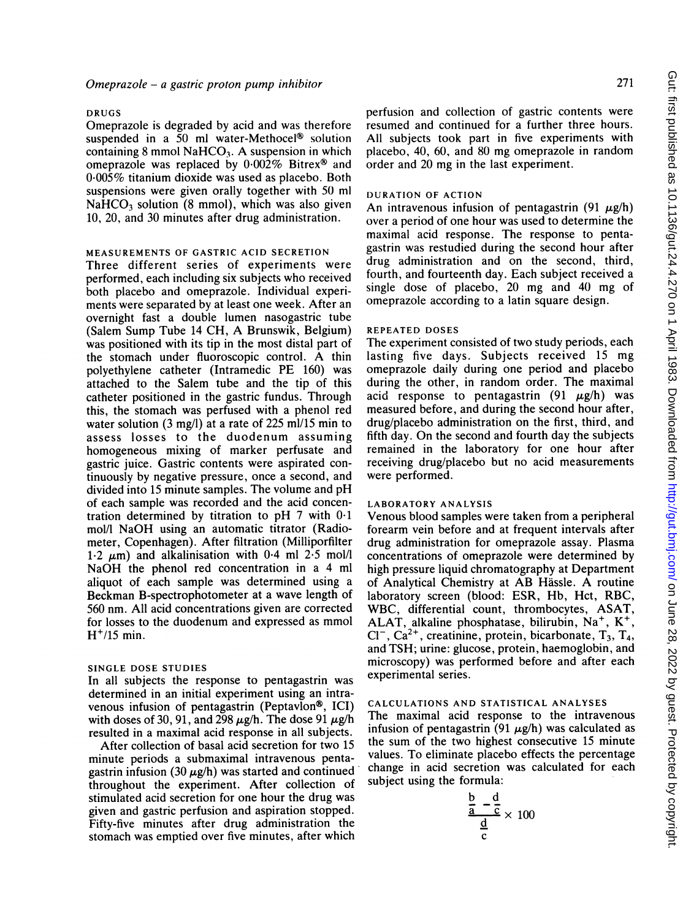#### DRUGS

Omeprazole is degraded by acid and was therefore suspended in a 50 ml water-Methocel<sup>®</sup> solution containing 8 mmol  $NAHCO<sub>3</sub>$ . A suspension in which omeprazole was replaced by 0.002% Bitrex® and 0.005% titanium dioxide was used as placebo. Both suspensions were given orally together with 50 ml  $NaHCO<sub>3</sub>$  solution (8 mmol), which was also given 10, 20, and 30 minutes after drug administration.

# MEASUREMENTS OF GASTRIC ACID SECRETION

Three different series of experiments were performed, each including six subjects who received both placebo and omeprazole. Individual experiments were separated by at least one week. After an overnight fast a double lumen nasogastric tube (Salem Sump Tube <sup>14</sup> CH, A Brunswik, Belgium) was positioned with its tip in the most distal part of the stomach under fluoroscopic control. A thin polyethylene catheter (Intramedic PE 160) was attached to the Salem tube and the tip of this catheter positioned in the gastric fundus. Through this, the stomach was perfused with a phenol red water solution (3 mg/l) at a rate of 225 ml/15 min to assess losses to the duodenum assuming homogeneous mixing of marker perfusate and gastric juice. Gastric contents were aspirated continuously by negative pressure, once a second, and divided into <sup>15</sup> minute samples. The volume and pH of each sample was recorded and the acid concentration determined by titration to pH <sup>7</sup> with 0-1 mol/l NaOH using an automatic titrator (Radiometer, Copenhagen). After filtration (Milliporfilter 1.2  $\mu$ m) and alkalinisation with 0.4 ml 2.5 mol/l NaOH the phenol red concentration in <sup>a</sup> <sup>4</sup> ml aliquot of each sample was determined using a Beckman B-spectrophotometer at a wave length of 560 nm. All acid concentrations given are corrected for losses to the duodenum and expressed as mmol  $H<sup>+/15</sup>$  min.

#### SINGLE DOSE STUDIES

In all subjects the response to pentagastrin was determined in an initial experiment using an intravenous infusion of pentagastrin (Peptavlon®, ICI) with doses of 30, 91, and 298  $\mu$ g/h. The dose 91  $\mu$ g/h resulted in a maximal acid response in all subjects.

After collection of basal acid secretion for two 15 minute periods a submaximal intravenous pentagastrin infusion (30  $\mu$ g/h) was started and continued throughout the experiment. After collection of stimulated acid secretion for one hour the drug was given and gastric perfusion and aspiration stopped. Fifty-five minutes after drug administration the stomach was emptied over five minutes, after which

perfusion and collection of gastric contents were resumed and continued for a further three hours. All subjects took part in five experiments with placebo, 40, 60, and 80 mg omeprazole in random order and 20 mg in the last experiment.

# DURATION OF ACTION

An intravenous infusion of pentagastrin (91  $\mu$ g/h) over a period of one hour was used to determine the maximal acid response. The response to pentagastrin was restudied during the second hour after drug administration and on the second, third, fourth, and fourteenth day. Each subject received a single dose of placebo, 20 mg and 40 mg of omeprazole according to a latin square design.

#### REPEATED DOSES

The experiment consisted of two study periods, each lasting five days. Subjects received <sup>15</sup> mg omeprazole daily during one period and placebo during the other, in random order. The maximal acid response to pentagastrin  $(91 \mu g/h)$  was measured before, and during the second hour after, drug/placebo administration on the first, third, and fifth day. On the second and fourth day the subjects remained in the laboratory for one hour after receiving drug/placebo but no acid measurements were performed.

# LABORATORY ANALYSIS

Venous blood samples were taken from a peripheral forearm vein before and at frequent intervals after drug administration for omeprazole assay. Plasma concentrations of omeprazole were determined by high pressure liquid chromatography at Department of Analytical Chemistry at AB Hassle. A routine laboratory screen (blood: ESR, Hb, Hct, RBC, WBC, differential count, thrombocytes, ASAT, ALAT, alkaline phosphatase, bilirubin,  $Na<sup>+</sup>$ ,  $K<sup>+</sup>$ ,  $Cl^-$ ,  $Ca^{2+}$ , creatinine, protein, bicarbonate,  $T_3$ ,  $T_4$ , and TSH; urine: glucose, protein, haemoglobin, and microscopy) was performed before and after each experimental series.

#### CALCULATIONS AND STATISTICAL ANALYSES

The maximal acid response to the intravenous infusion of pentagastrin (91  $\mu$ g/h) was calculated as the sum of the two highest consecutive 15 minute values. To eliminate placebo effects the percentage change in acid secretion was calculated for each subject using the formula:

$$
\frac{\frac{b}{a} - \frac{d}{c}}{\frac{d}{c}} \times 100
$$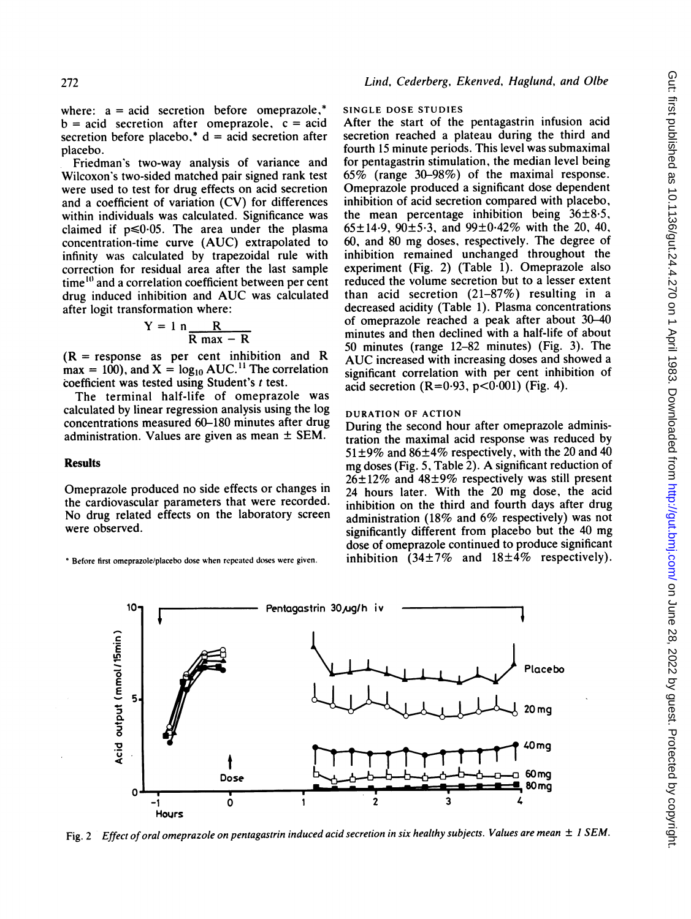where:  $a = acid$  secretion before omeprazole,\*  $b = acid$  secretion after omeprazole,  $c = acid$ secretion before placebo,\*  $d = acid$  secretion after placebo.

Friedman's two-way analysis of variance and Wilcoxon's two-sided matched pair signed rank test were used to test for drug effects on acid secretion and a coefficient of variation (CV) for differences within individuals was calculated. Significance was claimed if  $p \le 0.05$ . The area under the plasma concentration-time curve (AUC) extrapolated to infinity was calculated by trapezoidal rule with correction for residual area after the last sample time $"$  and a correlation coefficient between per cent drug induced inhibition and AUC was calculated after logit transformation where:

$$
Y = 1 n \frac{R}{R max - R}
$$

 $(R =$  response as per cent inhibition and R  $max = 100$ , and  $X = log<sub>10</sub> AUC.<sup>11</sup>$  The correlation coefficient was tested using Student's <sup>t</sup> test.

The terminal half-life of omeprazole was calculated by linear regression analysis using the log concentrations measured 60-180 minutes after drug administration. Values are given as mean  $\pm$  SEM.

## **Results**

Omeprazole produced no side effects or changes in the cardiovascular parameters that were recorded. No drug related effects on the laboratory screen were observed.

Before first omeprazole/placebo dose when repeated doses were given.

#### SINGLE DOSE STUDIES

After the start of the pentagastrin infusion acid secretion reached a plateau during the third and fourth 15 minute periods. This level was submaximal for pentagastrin stimulation, the median level being 65% (range 30-98%) of the maximal response. Omeprazole produced a significant dose dependent inhibition of acid secretion compared with placebo, the mean percentage inhibition being  $36\pm8.5$ ,  $65\pm14.9$ ,  $90\pm5.3$ , and  $99\pm0.42\%$  with the 20, 40, 60, and 80 mg doses, respectively. The degree of inhibition remained unchanged throughout the experiment (Fig. 2) (Table 1). Omeprazole also reduced the volume secretion but to a lesser extent than acid secretion (21-87%) resulting in a decreased acidity (Table 1). Plasma concentrations of omeprazole reached a peak after about 30-40 minutes and then declined with a half-life of about 50 minutes (range 12-82 minutes) (Fig. 3). The AUC increased with increasing doses and showed <sup>a</sup> significant correlation with per cent inhibition of acid secretion  $(R=0.93, p<0.001)$  (Fig. 4).

## DURATION OF ACTION

During the second hour after omeprazole administration the maximal acid response was reduced by  $51\pm9\%$  and  $86\pm4\%$  respectively, with the 20 and 40 mg doses (Fig. 5, Table 2). A significant reduction of  $26±12\%$  and  $48±9\%$  respectively was still present 24 hours later. With the 20 mg dose, the acid inhibition on the third and fourth days after drug administration (18% and 6% respectively) was not significantly different from placebo but the 40 mg dose of omeprazole continued to produce significant inhibition (34±7% and  $18±4\%$  respectively).



Fig. 2 Effect of oral omeprazole on pentagastrin induced acid secretion in six healthy subjects. Values are mean  $\pm$  1 SEM.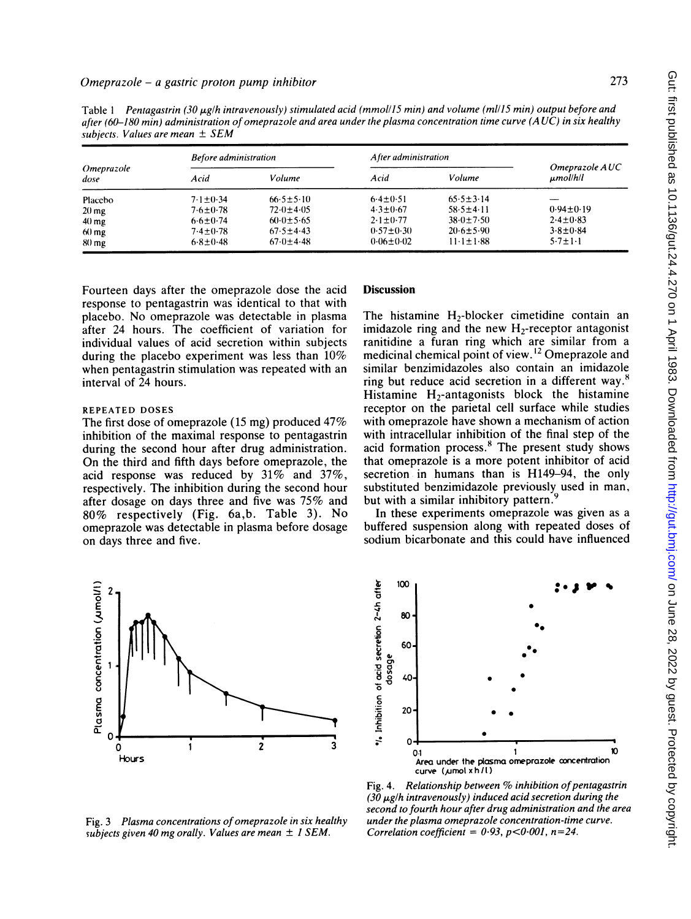| Omeprazole<br>dose | <b>Before administration</b> |                 | After administration |                 |                                 |
|--------------------|------------------------------|-----------------|----------------------|-----------------|---------------------------------|
|                    | Acid                         | Volume          | Acid                 | Volume          | Omeprazole AUC<br>$\mu$ mol/h/l |
| Placebo            | $7.1 \pm 0.34$               | $66.5 \pm 5.10$ | $6.4 + 0.51$         | $65.5 \pm 3.14$ |                                 |
| $20 \text{ mg}$    | $7.6 \pm 0.78$               | $72.0 \pm 4.05$ | $4.3 \pm 0.67$       | $58.5 + 4.11$   | $0.94 \pm 0.19$                 |
| $40 \text{ mg}$    | $6.6 \pm 0.74$               | $60.0 \pm 5.65$ | $2.1 \pm 0.77$       | $38.0 \pm 7.50$ | $2.4 \pm 0.83$                  |
| $60$ mg            | $7.4 \pm 0.78$               | $67.5 + 4.43$   | $0.57 \pm 0.30$      | $20.6 \pm 5.90$ | $3.8 \pm 0.84$                  |
| 80 mg              | $6.8 \pm 0.48$               | $67(1) + 4.48$  | $0.06 \pm 0.02$      | $11.1 \pm 1.88$ | $5.7 \pm 1.1$                   |

Table 1 Pentagastrin (30  $\mu$ g/h intravenously) stimulated acid (mmol/15 min) and volume (ml/15 min) output before and after (60-180 min) administration of omeprazole and area under the plasma concentration time curve (A UC) in six healthy

Fourteen days after the omeprazole dose the acid response to pentagastrin was identical to that with placebo. No omeprazole was detectable in plasma after 24 hours. The coefficient of variation for individual values of acid secretion within subjects during the placebo experiment was less than 10% when pentagastrin stimulation was repeated with an interval of 24 hours.

## REPEATED DOSES

The first dose of omeprazole (15 mg) produced 47% inhibition of the maximal response to pentagastrin during the second hour after drug administration. On the third and fifth days before omeprazole, the acid response was reduced by 31% and 37%, respectively. The inhibition during the second hour after dosage on days three and five was 75% and 80% respectively (Fig. 6a,b. Table 3). No omeprazole was detectable in plasma before dosage on days three and five.

# **Discussion**

The histamine  $H_2$ -blocker cimetidine contain an imidazole ring and the new  $H_2$ -receptor antagonist ranitidine a furan ring which are similar from a medicinal chemical point of view. <sup>12</sup> Omeprazole and similar benzimidazoles also contain an imidazole ring but reduce acid secretion in a different way.<sup>8</sup> Histamine  $H_2$ -antagonists block the histamine receptor on the parietal cell surface while studies with omeprazole have shown a mechanism of action with intracellular inhibition of the final step of the acid formation process.<sup>8</sup> The present study shows that omeprazole is a more potent inhibitor of acid secretion in humans than is H149-94, the only substituted benzimidazole previously used in man, but with a similar inhibitory pattern.<sup>9</sup>

In these experiments omeprazole was given as a buffered suspension along with repeated doses of sodium bicarbonate and this could have influenced





Fig. 3 Plasma concentrations of omeprazole in six healthy

subjects given 40 mg orally. Values are mean  $\pm$  1 SEM.

Fig. 4. Relationship between  $%$  inhibition of pentagastrin  $(30 \mu$ g/h intravenously) induced acid secretion during the second to fourth hour after drug administration and the area under the plasma omeprazole concentration-time curve. Correlation coefficient =  $0.93$ ,  $p < 0.001$ ,  $n = 24$ .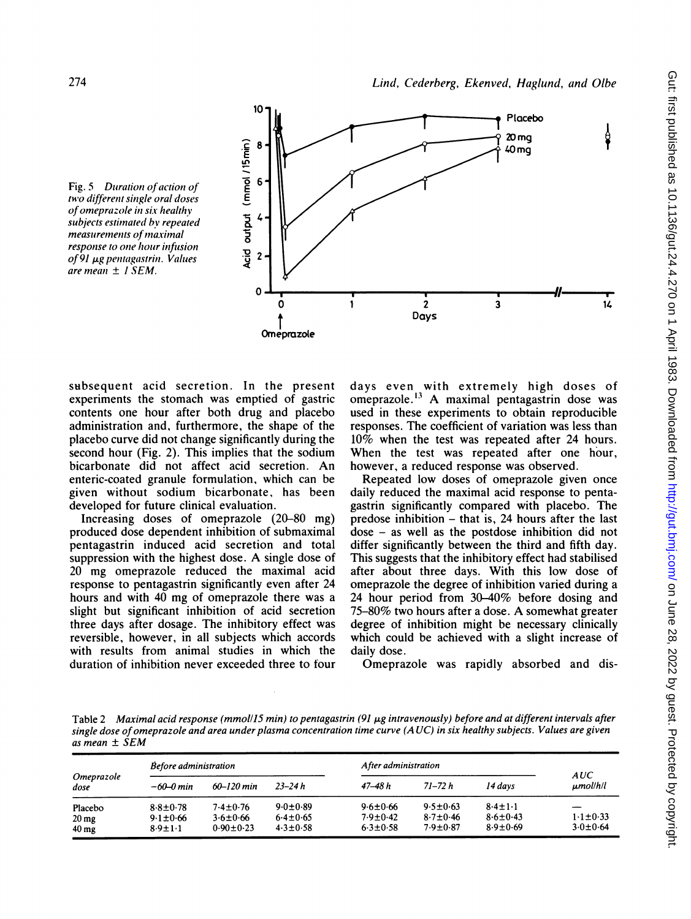



subsequent acid secretion. In the present experiments the stomach was emptied of gastric contents one hour after both drug and placebo administration and, furthermore, the shape of the placebo curve did not change significantly during the second hour (Fig. 2). This implies that the sodium bicarbonate did not affect acid secretion. An enteric-coated granule formulation, which can be given without sodium bicarbonate, has been developed for future clinical evaluation.

Increasing doses of omeprazole (20-80 mg) produced dose dependent inhibition of submaximal pentagastrin induced acid secretion and total suppression with the highest dose. A single dose of 20 mg omeprazole reduced the maximal acid response to pentagastrin significantly even after 24 hours and with 40 mg of omeprazole there was <sup>a</sup> slight but significant inhibition of acid secretion three days after dosage. The inhibitory effect was reversible, however, in all subjects which accords with results from animal studies in which the duration of inhibition never exceeded three to four

days even with extremely high doses of omeprazole.'3 A maximal pentagastrin dose was used in these experiments to obtain reproducible responses. The coefficient of variation was less than 10% when the test was repeated after 24 hours. When the test was repeated after one hour, however, a reduced response was observed.

Repeated low doses of omeprazole given once daily reduced the maximal acid response to pentagastrin significantly compared with placebo. The predose inhibition - that is, 24 hours after the last dose - as well as the postdose inhibition did not differ significantly between the third and fifth day. This suggests that the inhibitory effect had stabilised after about three days. With this low dose of omeprazole the degree of inhibition varied during a 24 hour period from 30-40% before dosing and 75-80% two hours after <sup>a</sup> dose. A somewhat greater degree of inhibition might be necessary clinically which could be achieved with a slight increase of daily dose.

Omeprazole was rapidly absorbed and dis-

Table 2 Maximal acid response (mmol/15 min) to pentagastrin (91 µg intravenously) before and at different intervals after single dose ofomeprazole and area under plasma concentration time curve (A UC) in six healthy subjects. Values are given as mean ± SEM

| Omeprazole<br>dose | Before administration |                 |                | After administration |                |                |                      |
|--------------------|-----------------------|-----------------|----------------|----------------------|----------------|----------------|----------------------|
|                    | $-60 - 0$ min         | $60 - 120$ min  | $23 - 24h$     | 47–48 h              | 71–72 h        | 14 days        | AUC<br>$\mu$ mol/h/l |
| Placebo            | $8.8 + 0.78$          | $7.4 \pm 0.76$  | $9.0 \pm 0.89$ | $9.6 \pm 0.66$       | $9.5 \pm 0.63$ | $8.4 \pm 1.1$  |                      |
| $20 \,\mathrm{mg}$ | $9.1 \pm 0.66$        | $3.6 \pm 0.66$  | $6.4 \pm 0.65$ | $7.9 \pm 0.42$       | $8.7 \pm 0.46$ | $8.6 \pm 0.43$ | $1.1 \pm 0.33$       |
| 40 <sub>mg</sub>   | $8.9 \pm 1.1$         | $0.90 \pm 0.23$ | $4.3 \pm 0.58$ | $6.3 \pm 0.58$       | $7.9 \pm 0.87$ | $8.9 \pm 0.69$ | $3.0 \pm 0.64$       |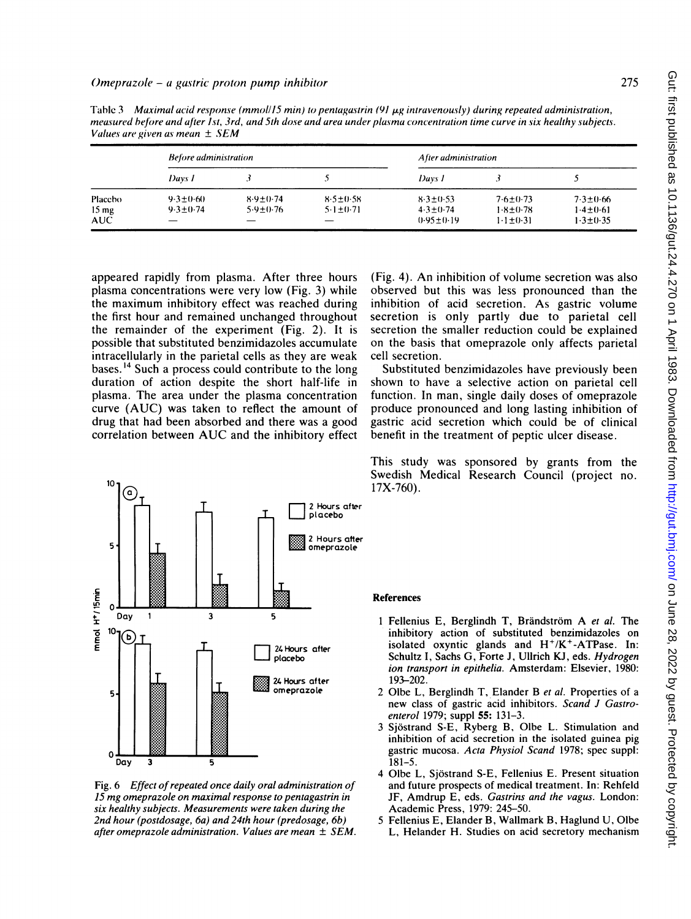| r anats art given as mean $\pm$ 50m |                                |                                |                                |                                                     |                                                    |                                                  |  |  |  |
|-------------------------------------|--------------------------------|--------------------------------|--------------------------------|-----------------------------------------------------|----------------------------------------------------|--------------------------------------------------|--|--|--|
|                                     | <b>Before administration</b>   |                                |                                | After administration                                |                                                    |                                                  |  |  |  |
|                                     | Davs 1                         |                                |                                | Days 1                                              |                                                    |                                                  |  |  |  |
| Placebo<br>15 mg<br>AUC             | $9.3 + 0.60$<br>$9.3 \pm 0.74$ | $8.9 + 0.74$<br>$5.9 \pm 0.76$ | $8.5 + 0.58$<br>$5.1 \pm 0.71$ | $8.3 \pm 0.53$<br>$4.3 \pm 0.74$<br>$0.95 \pm 0.19$ | $7.6 \pm 0.73$<br>$1.8 \pm 0.78$<br>$1.1 \pm 0.31$ | $7.3 \pm 0.66$<br>$1.4 + 0.61$<br>$1.3 \pm 0.35$ |  |  |  |

Table 3 Maximal acid response (mmol/15 min) to pentagastrin (91  $\mu$ g intravenously) during repeated administration, measured before and after 1st, 3rd, and 5th dose and area under plasma concentration time curve in six healthy subjects. Values are given as mean ± SEM

appeared rapidly from plasma. After three hours plasma concentrations were very low (Fig. 3) while the maximum inhibitory effect was reached during the first hour and remained unchanged throughout the remainder of the experiment (Fig. 2). It is possible that substituted benzimidazoles accumulate intracellularly in the parietal cells as they are weak bases. <sup>14</sup> Such a process could contribute to the long duration of action despite the short half-life in plasma. The area under the plasma concentration curve (AUC) was taken to reflect the amount of drug that had been absorbed and there was a good correlation between AUC and the inhibitory effect

10  $^\circled{\rm c}$ 2 Hours after l acebo 2 Hours after 5  $\begin{array}{ccccccc}\n\frac{2}{5} & & & & \\
\frac{2}{5} & & & & \\
\frac{2}{5} & & & & \\
\frac{2}{5} & & & & \\
\frac{2}{5} & & & & \\
\frac{2}{5} & & & & \\
\frac{2}{5} & & & & \\
\frac{2}{5} & & & & \\
\frac{2}{5} & & & & \\
\frac{2}{5} & & & & \\
\frac{2}{5} & & & & \\
\frac{2}{5} & & & & \\
\frac{2}{5} & & & & \\
\frac{2}{5} & & & & \\
\frac{2}{5} & & & & \\
\frac{2}{5} & & & & \\
\frac{2}{5} & & & & \\
\frac{2}{5}$ Day  $\mathbf{1}$  $\overline{\mathbf{3}}$ 5  $\overline{a}$ placebo  $\begin{array}{|c|c|c|}\hline & & & \\\hline \end{array}$   $\begin{array}{|c|c|}\hline \text{I} & \text{I} & \text{I}^{\text{22}}\hline \end{array}$   $\begin{array}{|c|c|}\hline \text{24 Hours at the}& \text{26.}\ \hline \end{array}$ 15 mgomepazolon axima resonsetoopnepraston e 24 Hours after 5 Day 3 <sup>35</sup> si Dealty 1ujcs Mesreet 5eetkndrn <sup>h</sup> 0  $Day \quad 3 \quad 5$ 

Fig. 6 Effect of repeated once daily oral administration of 15 mg omeprazole on maximal response to pentagastrin in six healthy subjects. Measurements were taken during the 2nd hour (postdosage, 6a) and 24th hour (predosage, 6b) after omeprazole administration. Values are mean  $\pm$  SEM.

(Fig. 4). An inhibition of volume secretion was also observed but this was less pronounced than the inhibition of acid secretion. As gastric volume secretion is only partly due to parietal cell secretion the smaller reduction could be explained on the basis that omeprazole only affects parietal cell secretion.

Substituted benzimidazoles have previously been shown to have a selective action on parietal cell function. In man, single daily doses of omeprazole produce pronounced and long lasting inhibition of gastric acid secretion which could be of clinical benefit in the treatment of peptic ulcer disease.

This study was sponsored by grants from the Swedish Medical Research Council (project no. 17X-760).

#### References

- 1 Fellenius E, Berglindh T, Brändström A et al. The inhibitory action of substituted benzimidazoles on isolated oxyntic glands and  $H^+/K^+$ -ATPase. In: Schultz I, Sachs G, Forte J, Ullrich KJ, eds. Hydrogen ion transport in epithelia. Amsterdam: Elsevier, 1980: 193-202.
- 2 Olbe L, Berglindh T, Elander B et al. Properties of a new class of gastric acid inhibitors. Scand J Gastroenterol 1979; suppl 55: 131-3.
- 3 Sjostrand S-E, Ryberg B, Olbe L. Stimulation and inhibition of acid secretion in the isolated guinea pig gastric mucosa. Acta Physiol Scand 1978; spec suppl: 181-5.
- 4 Olbe L, Sjostrand S-E, Fellenius E. Present situation and future prospects of medical treatment. In: Rehfeld JF, Amdrup E, eds. Gastrins and the vagus. London: Academic Press, 1979: 245-50.
- 5 Fellenius E, Elander B, Wallmark B, Haglund U, Olbe L, Helander H. Studies on acid secretory mechanism